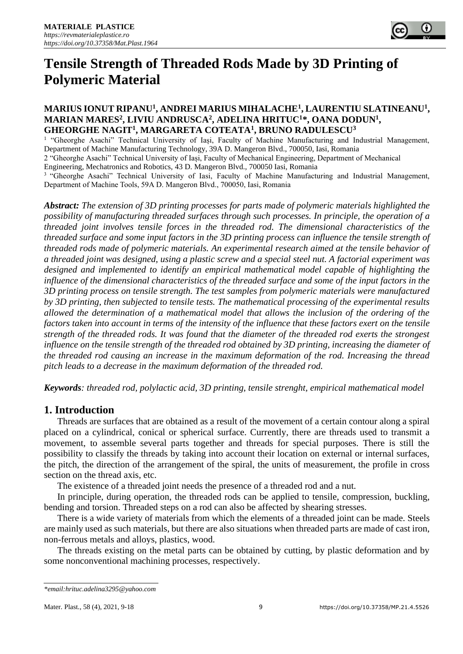

# **Tensile Strength of Threaded Rods Made by 3D Printing of Polymeric Material**

# **MARIUS IONUT RIPANU<sup>1</sup> , ANDREI MARIUS MIHALACHE<sup>1</sup> , LAURENTIU SLATINEANU<sup>1</sup> , MARIAN MARES<sup>2</sup> , LIVIU ANDRUSCA<sup>2</sup> , ADELINA HRITUC<sup>1</sup>\*, OANA DODUN<sup>1</sup> , GHEORGHE NAGIT<sup>1</sup> , MARGARETA COTEATA<sup>1</sup> , BRUNO RADULESCU<sup>3</sup>**

<sup>1</sup> "Gheorghe Asachi" Technical University of Iași, Faculty of Machine Manufacturing and Industrial Management, Department of Machine Manufacturing Technology, 39A D. Mangeron Blvd., 700050, Iasi, Romania

2 "Gheorghe Asachi" Technical University of Iași, Faculty of Mechanical Engineering, Department of Mechanical

Engineering, Mechatronics and Robotics, 43 D. Mangeron Blvd., 700050 Iasi, Romania

<sup>3</sup> "Gheorghe Asachi" Technical University of Iasi, Faculty of Machine Manufacturing and Industrial Management, Department of Machine Tools, 59A D. Mangeron Blvd., 700050, Iasi, Romania

*Abstract: The extension of 3D printing processes for parts made of polymeric materials highlighted the possibility of manufacturing threaded surfaces through such processes. In principle, the operation of a threaded joint involves tensile forces in the threaded rod. The dimensional characteristics of the threaded surface and some input factors in the 3D printing process can influence the tensile strength of threaded rods made of polymeric materials. An experimental research aimed at the tensile behavior of a threaded joint was designed, using a plastic screw and a special steel nut. A factorial experiment was designed and implemented to identify an empirical mathematical model capable of highlighting the influence of the dimensional characteristics of the threaded surface and some of the input factors in the 3D printing process on tensile strength. The test samples from polymeric materials were manufactured by 3D printing, then subjected to tensile tests. The mathematical processing of the experimental results allowed the determination of a mathematical model that allows the inclusion of the ordering of the factors taken into account in terms of the intensity of the influence that these factors exert on the tensile strength of the threaded rods. It was found that the diameter of the threaded rod exerts the strongest influence on the tensile strength of the threaded rod obtained by 3D printing, increasing the diameter of the threaded rod causing an increase in the maximum deformation of the rod. Increasing the thread pitch leads to a decrease in the maximum deformation of the threaded rod.*

*Keywords: threaded rod, polylactic acid, 3D printing, tensile strenght, empirical mathematical model*

# **1. Introduction**

Threads are surfaces that are obtained as a result of the movement of a certain contour along a spiral placed on a cylindrical, conical or spherical surface. Currently, there are threads used to transmit a movement, to assemble several parts together and threads for special purposes. There is still the possibility to classify the threads by taking into account their location on external or internal surfaces, the pitch, the direction of the arrangement of the spiral, the units of measurement, the profile in cross section on the thread axis, etc.

The existence of a threaded joint needs the presence of a threaded rod and a nut.

In principle, during operation, the threaded rods can be applied to tensile, compression, buckling, bending and torsion. Threaded steps on a rod can also be affected by shearing stresses.

There is a wide variety of materials from which the elements of a threaded joint can be made. Steels are mainly used as such materials, but there are also situations when threaded parts are made of cast iron, non-ferrous metals and alloys, plastics, wood.

The threads existing on the metal parts can be obtained by cutting, by plastic deformation and by some nonconventional machining processes, respectively.

*<sup>\*</sup>email:hrituc.adelina3295@yahoo.com*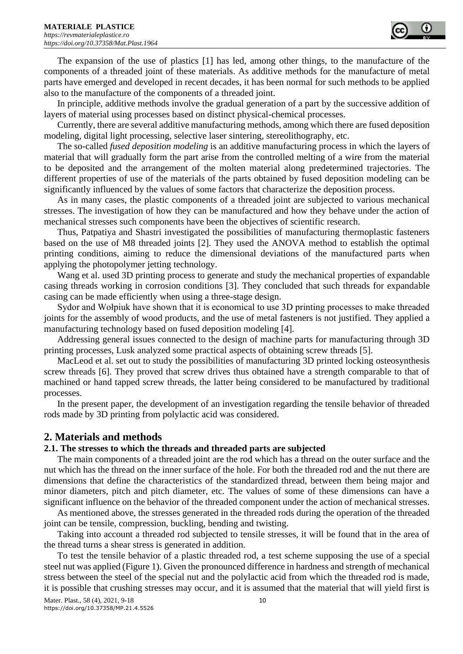

The expansion of the use of plastics [1] has led, among other things, to the manufacture of the components of a threaded joint of these materials. As additive methods for the manufacture of metal parts have emerged and developed in recent decades, it has been normal for such methods to be applied also to the manufacture of the components of a threaded joint.

In principle, additive methods involve the gradual generation of a part by the successive addition of layers of material using processes based on distinct physical-chemical processes.

Currently, there are several additive manufacturing methods, among which there are fused deposition modeling, digital light processing, selective laser sintering, stereolithography, etc.

The so-called *fused deposition modeling* is an additive manufacturing process in which the layers of material that will gradually form the part arise from the controlled melting of a wire from the material to be deposited and the arrangement of the molten material along predetermined trajectories. The different properties of use of the materials of the parts obtained by fused deposition modeling can be significantly influenced by the values of some factors that characterize the deposition process.

As in many cases, the plastic components of a threaded joint are subjected to various mechanical stresses. The investigation of how they can be manufactured and how they behave under the action of mechanical stresses such components have been the objectives of scientific research.

Thus, Patpatiya and Shastri investigated the possibilities of manufacturing thermoplastic fasteners based on the use of M8 threaded joints [2]. They used the ANOVA method to establish the optimal printing conditions, aiming to reduce the dimensional deviations of the manufactured parts when applying the photopolymer jetting technology.

Wang et al. used 3D printing process to generate and study the mechanical properties of expandable casing threads working in corrosion conditions [3]. They concluded that such threads for expandable casing can be made efficiently when using a three-stage design.

Sydor and Wołpiuk have shown that it is economical to use 3D printing processes to make threaded joints for the assembly of wood products, and the use of metal fasteners is not justified. They applied a manufacturing technology based on fused deposition modeling [4].

Addressing general issues connected to the design of machine parts for manufacturing through 3D printing processes, Lusk analyzed some practical aspects of obtaining screw threads [5].

MacLeod et al. set out to study the possibilities of manufacturing 3D printed locking osteosynthesis screw threads [6]. They proved that screw drives thus obtained have a strength comparable to that of machined or hand tapped screw threads, the latter being considered to be manufactured by traditional processes.

In the present paper, the development of an investigation regarding the tensile behavior of threaded rods made by 3D printing from polylactic acid was considered.

## **2. Materials and methods**

## **2.1. The stresses to which the threads and threaded parts are subjected**

The main components of a threaded joint are the rod which has a thread on the outer surface and the nut which has the thread on the inner surface of the hole. For both the threaded rod and the nut there are dimensions that define the characteristics of the standardized thread, between them being major and minor diameters, pitch and pitch diameter, etc. The values of some of these dimensions can have a significant influence on the behavior of the threaded component under the action of mechanical stresses.

As mentioned above, the stresses generated in the threaded rods during the operation of the threaded joint can be tensile, compression, buckling, bending and twisting.

Taking into account a threaded rod subjected to tensile stresses, it will be found that in the area of the thread turns a shear stress is generated in addition.

To test the tensile behavior of a plastic threaded rod, a test scheme supposing the use of a special steel nut was applied (Figure 1). Given the pronounced difference in hardness and strength of mechanical stress between the steel of the special nut and the polylactic acid from which the threaded rod is made, it is possible that crushing stresses may occur, and it is assumed that the material that will yield first is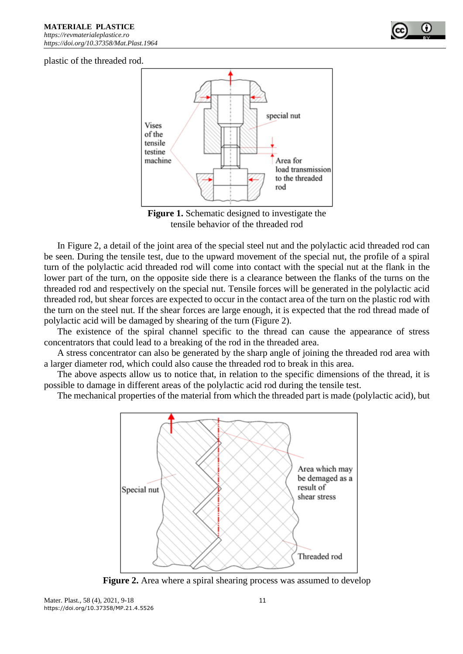

plastic of the threaded rod.



**Figure 1.** Schematic designed to investigate the tensile behavior of the threaded rod

In Figure 2, a detail of the joint area of the special steel nut and the polylactic acid threaded rod can be seen. During the tensile test, due to the upward movement of the special nut, the profile of a spiral turn of the polylactic acid threaded rod will come into contact with the special nut at the flank in the lower part of the turn, on the opposite side there is a clearance between the flanks of the turns on the threaded rod and respectively on the special nut. Tensile forces will be generated in the polylactic acid threaded rod, but shear forces are expected to occur in the contact area of the turn on the plastic rod with the turn on the steel nut. If the shear forces are large enough, it is expected that the rod thread made of polylactic acid will be damaged by shearing of the turn (Figure 2).

The existence of the spiral channel specific to the thread can cause the appearance of stress concentrators that could lead to a breaking of the rod in the threaded area.

A stress concentrator can also be generated by the sharp angle of joining the threaded rod area with a larger diameter rod, which could also cause the threaded rod to break in this area.

The above aspects allow us to notice that, in relation to the specific dimensions of the thread, it is possible to damage in different areas of the polylactic acid rod during the tensile test.

The mechanical properties of the material from which the threaded part is made (polylactic acid), but



**Figure 2.** Area where a spiral shearing process was assumed to develop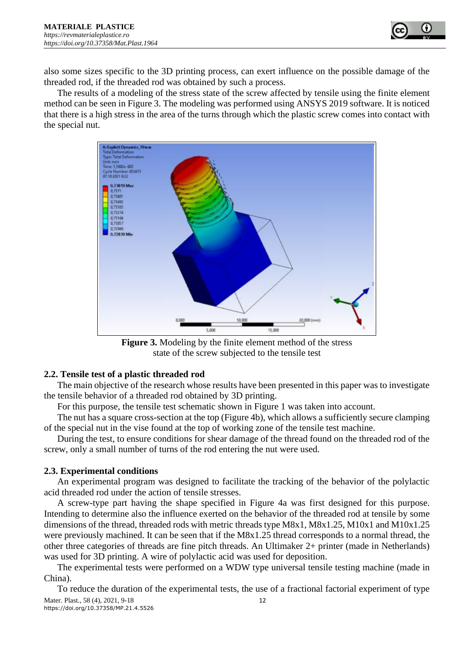

also some sizes specific to the 3D printing process, can exert influence on the possible damage of the threaded rod, if the threaded rod was obtained by such a process.

The results of a modeling of the stress state of the screw affected by tensile using the finite element method can be seen in Figure 3. The modeling was performed using ANSYS 2019 software. It is noticed that there is a high stress in the area of the turns through which the plastic screw comes into contact with the special nut.



**Figure 3.** Modeling by the finite element method of the stress state of the screw subjected to the tensile test

#### **2.2. Tensile test of a plastic threaded rod**

The main objective of the research whose results have been presented in this paper was to investigate the tensile behavior of a threaded rod obtained by 3D printing.

For this purpose, the tensile test schematic shown in Figure 1 was taken into account.

The nut has a square cross-section at the top (Figure 4b), which allows a sufficiently secure clamping of the special nut in the vise found at the top of working zone of the tensile test machine.

During the test, to ensure conditions for shear damage of the thread found on the threaded rod of the screw, only a small number of turns of the rod entering the nut were used.

#### **2.3. Experimental conditions**

An experimental program was designed to facilitate the tracking of the behavior of the polylactic acid threaded rod under the action of tensile stresses.

A screw-type part having the shape specified in Figure 4a was first designed for this purpose. Intending to determine also the influence exerted on the behavior of the threaded rod at tensile by some dimensions of the thread, threaded rods with metric threads type M8x1, M8x1.25, M10x1 and M10x1.25 were previously machined. It can be seen that if the M8x1.25 thread corresponds to a normal thread, the other three categories of threads are fine pitch threads. An Ultimaker 2+ printer (made in Netherlands) was used for 3D printing. A wire of polylactic acid was used for deposition.

The experimental tests were performed on a WDW type universal tensile testing machine (made in China).

Mater. Plast., 58 (4), 2021, 9-18 12 https://doi.org/10.37358/MP.21.4.5526 To reduce the duration of the experimental tests, the use of a fractional factorial experiment of type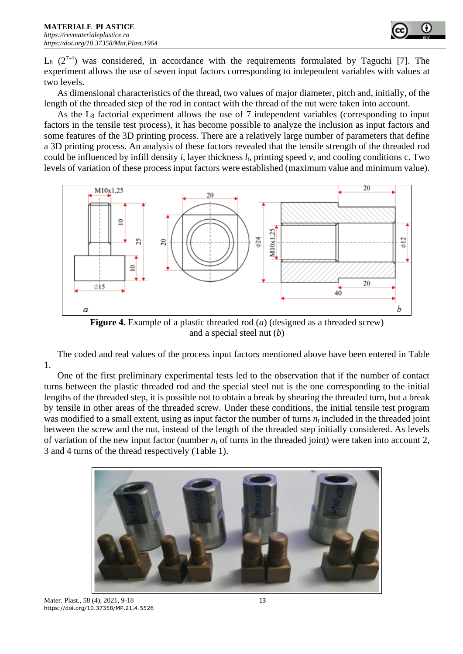

 $L_8$  (2<sup>7-4</sup>) was considered, in accordance with the requirements formulated by Taguchi [7]. The experiment allows the use of seven input factors corresponding to independent variables with values at two levels.

As dimensional characteristics of the thread, two values of major diameter, pitch and, initially, of the length of the threaded step of the rod in contact with the thread of the nut were taken into account.

As the  $L_8$  factorial experiment allows the use of 7 independent variables (corresponding to input factors in the tensile test process), it has become possible to analyze the inclusion as input factors and some features of the 3D printing process. There are a relatively large number of parameters that define a 3D printing process. An analysis of these factors revealed that the tensile strength of the threaded rod could be influenced by infill density *i*, layer thickness *lt*, printing speed *v*, and cooling conditions c. Two levels of variation of these process input factors were established (maximum value and minimum value).



**Figure 4.** Example of a plastic threaded rod (*a*) (designed as a threaded screw) and a special steel nut (*b*)

The coded and real values of the process input factors mentioned above have been entered in Table 1.

One of the first preliminary experimental tests led to the observation that if the number of contact turns between the plastic threaded rod and the special steel nut is the one corresponding to the initial lengths of the threaded step, it is possible not to obtain a break by shearing the threaded turn, but a break by tensile in other areas of the threaded screw. Under these conditions, the initial tensile test program was modified to a small extent, using as input factor the number of turns *n<sup>t</sup>* included in the threaded joint between the screw and the nut, instead of the length of the threaded step initially considered. As levels of variation of the new input factor (number  $n_t$  of turns in the threaded joint) were taken into account 2, 3 and 4 turns of the thread respectively (Table 1).



Mater. Plast., 58 (4), 2021, 9-18 13 https://doi.org/10.37358/MP.21.4.5526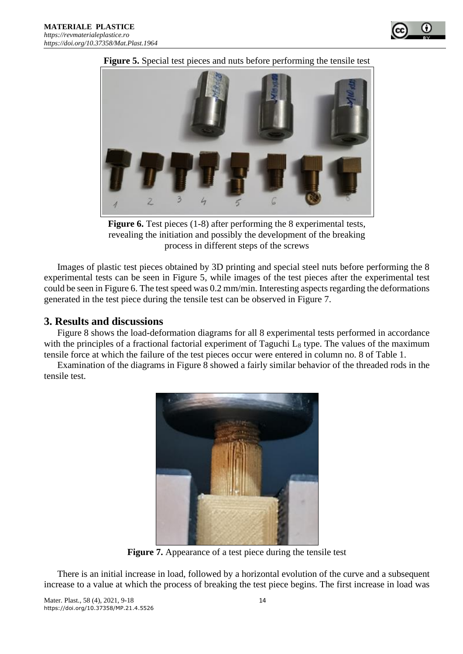

**Figure 5.** Special test pieces and nuts before performing the tensile test

**Figure 6.** Test pieces (1-8) after performing the 8 experimental tests, revealing the initiation and possibly the development of the breaking process in different steps of the screws

Images of plastic test pieces obtained by 3D printing and special steel nuts before performing the 8 experimental tests can be seen in Figure 5, while images of the test pieces after the experimental test could be seen in Figure 6. The test speed was 0.2 mm/min. Interesting aspects regarding the deformations generated in the test piece during the tensile test can be observed in Figure 7.

# **3. Results and discussions**

Figure 8 shows the load-deformation diagrams for all 8 experimental tests performed in accordance with the principles of a fractional factorial experiment of Taguchi  $L_8$  type. The values of the maximum tensile force at which the failure of the test pieces occur were entered in column no. 8 of Table 1.

Examination of the diagrams in Figure 8 showed a fairly similar behavior of the threaded rods in the tensile test.



**Figure 7.** Appearance of a test piece during the tensile test

There is an initial increase in load, followed by a horizontal evolution of the curve and a subsequent increase to a value at which the process of breaking the test piece begins. The first increase in load was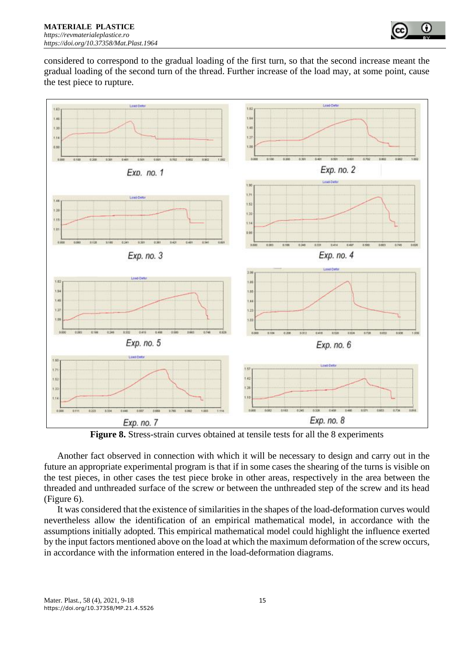

considered to correspond to the gradual loading of the first turn, so that the second increase meant the gradual loading of the second turn of the thread. Further increase of the load may, at some point, cause the test piece to rupture.



**Figure 8.** Stress-strain curves obtained at tensile tests for all the 8 experiments

Another fact observed in connection with which it will be necessary to design and carry out in the future an appropriate experimental program is that if in some cases the shearing of the turns is visible on the test pieces, in other cases the test piece broke in other areas, respectively in the area between the threaded and unthreaded surface of the screw or between the unthreaded step of the screw and its head (Figure 6).

It was considered that the existence of similarities in the shapes of the load-deformation curves would nevertheless allow the identification of an empirical mathematical model, in accordance with the assumptions initially adopted. This empirical mathematical model could highlight the influence exerted by the input factors mentioned above on the load at which the maximum deformation of the screw occurs, in accordance with the information entered in the load-deformation diagrams.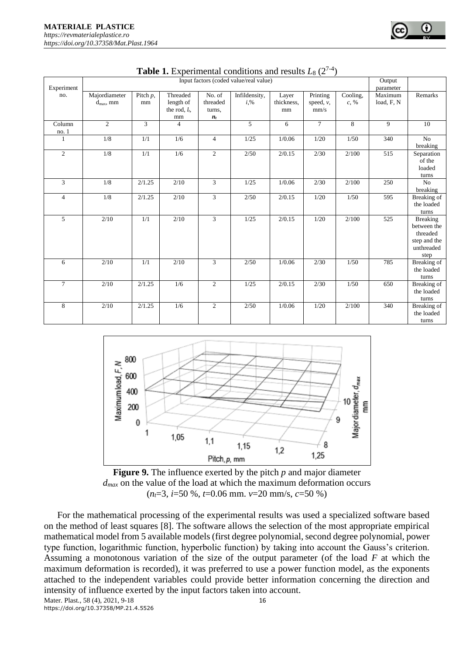| Experiment     | Input factors (coded value/real value) |             |                  |                |               |                     |                        |          |                      |                      |
|----------------|----------------------------------------|-------------|------------------|----------------|---------------|---------------------|------------------------|----------|----------------------|----------------------|
| no.            |                                        |             | Threaded         | No. of         |               |                     |                        |          | parameter<br>Maximum | Remarks              |
|                | Majordiameter                          | Pitch $p$ , | length of        | threaded       | Infildensity, | Layer<br>thickness. | Printing               | Cooling, | load, F, N           |                      |
|                | $d_{\text{max}}$ , mm                  | mm          | the rod, $l_t$ , |                | $i, \%$       |                     | speed, $\nu$ ,<br>mm/s | $c, \%$  |                      |                      |
|                |                                        |             | mm               | turns,         |               | mm                  |                        |          |                      |                      |
| Column         | $\overline{2}$                         | 3           | $\overline{4}$   | $n_t$          | 5             | 6                   | $\tau$                 | 8        | $\mathbf{Q}$         | 10                   |
|                |                                        |             |                  |                |               |                     |                        |          |                      |                      |
| no.1<br>1      | 1/8                                    | 1/1         | 1/6              | $\overline{4}$ | 1/25          | 1/0.06              | 1/20                   | 1/50     | 340                  | $\overline{No}$      |
|                |                                        |             |                  |                |               |                     |                        |          |                      | breaking             |
| $\overline{2}$ | 1/8                                    | 1/1         | 1/6              | $\overline{c}$ | 2/50          | 2/0.15              | 2/30                   | 2/100    | 515                  |                      |
|                |                                        |             |                  |                |               |                     |                        |          |                      | Separation<br>of the |
|                |                                        |             |                  |                |               |                     |                        |          |                      | loaded               |
|                |                                        |             |                  |                |               |                     |                        |          |                      |                      |
| 3              | 1/8                                    | 2/1.25      | 2/10             | $\overline{3}$ | 1/25          | 1/0.06              | 2/30                   | 2/100    | 250                  | turns<br>No          |
|                |                                        |             |                  |                |               |                     |                        |          |                      | breaking             |
| $\overline{4}$ | 1/8                                    | 2/1.25      | 2/10             | $\overline{3}$ | 2/50          | 2/0.15              | 1/20                   | 1/50     | 595                  | Breaking of          |
|                |                                        |             |                  |                |               |                     |                        |          |                      | the loaded           |
|                |                                        |             |                  |                |               |                     |                        |          |                      | turns                |
| 5              | 2/10                                   | 1/1         | 2/10             | 3              | 1/25          | 2/0.15              | 1/20                   | 2/100    | 525                  | <b>Breaking</b>      |
|                |                                        |             |                  |                |               |                     |                        |          |                      | between the          |
|                |                                        |             |                  |                |               |                     |                        |          |                      | threaded             |
|                |                                        |             |                  |                |               |                     |                        |          |                      | step and the         |
|                |                                        |             |                  |                |               |                     |                        |          |                      | unthreaded           |
|                |                                        |             |                  |                |               |                     |                        |          |                      | step                 |
| 6              | 2/10                                   | 1/1         | 2/10             | 3              | 2/50          | 1/0.06              | 2/30                   | 1/50     | 785                  | Breaking of          |
|                |                                        |             |                  |                |               |                     |                        |          |                      | the loaded           |
|                |                                        |             |                  |                |               |                     |                        |          |                      | turns                |
| $\overline{7}$ | 2/10                                   | 2/1.25      | 1/6              | $\mathfrak{2}$ | 1/25          | 2/0.15              | 2/30                   | 1/50     | 650                  | Breaking of          |
|                |                                        |             |                  |                |               |                     |                        |          |                      | the loaded           |
|                |                                        |             |                  |                |               |                     |                        |          |                      | turns                |
| 8              | 2/10                                   | 2/1.25      | 1/6              | $\overline{2}$ | 2/50          | 1/0.06              | 1/20                   | 2/100    | 340                  | <b>Breaking</b> of   |
|                |                                        |             |                  |                |               |                     |                        |          |                      | the loaded           |
|                |                                        |             |                  |                |               |                     |                        |          |                      | turns                |

|  |  | <b>Table 1.</b> Experimental conditions and results $L_8$ ( $2^{7-4}$ ) |  |  |
|--|--|-------------------------------------------------------------------------|--|--|
|  |  |                                                                         |  |  |





Mater. Plast., 58 (4), 2021, 9-18 16 For the mathematical processing of the experimental results was used a specialized software based on the method of least squares [8]. The software allows the selection of the most appropriate empirical mathematical model from 5 available models (first degree polynomial, second degree polynomial, power type function, logarithmic function, hyperbolic function) by taking into account the Gauss's criterion. Assuming a monotonous variation of the size of the output parameter (of the load *F* at which the maximum deformation is recorded), it was preferred to use a power function model, as the exponents attached to the independent variables could provide better information concerning the direction and intensity of influence exerted by the input factors taken into account.

https://doi.org/10.37358/MP.21.4.5526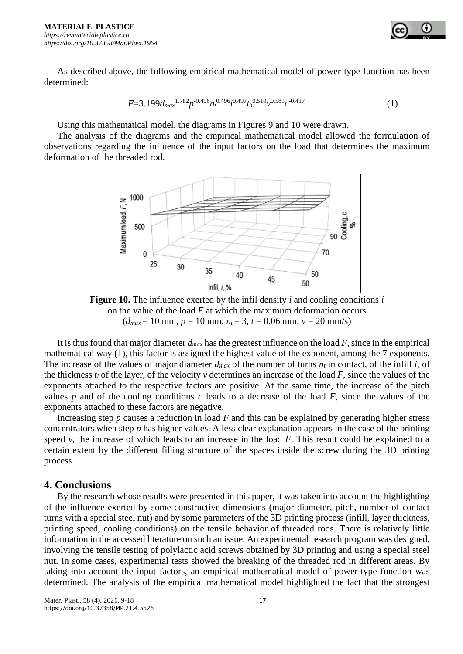As described above, the following empirical mathematical model of power-type function has been determined:

$$
F=3.199d_{max}^{1.782}p^{-0.496}n_t^{0.496}i^{0.497}t_h^{0.510}v^{0.581}c^{-0.417}
$$
 (1)

Using this mathematical model, the diagrams in Figures 9 and 10 were drawn.

The analysis of the diagrams and the empirical mathematical model allowed the formulation of observations regarding the influence of the input factors on the load that determines the maximum deformation of the threaded rod.



**Figure 10.** The influence exerted by the infil density *i* and cooling conditions *i* on the value of the load *F* at which the maximum deformation occurs  $(d_{max} = 10 \text{ mm}, p = 10 \text{ mm}, n_t = 3, t = 0.06 \text{ mm}, v = 20 \text{ mm/s})$ 

It is thus found that major diameter *dmax* has the greatest influence on the load *F*, since in the empirical mathematical way (1), this factor is assigned the highest value of the exponent, among the 7 exponents. The increase of the values of major diameter  $d_{max}$  of the number of turns  $n_t$  in contact, of the infill *i*, of the thickness  $t_l$  of the layer, of the velocity  $v$  determines an increase of the load  $F$ , since the values of the exponents attached to the respective factors are positive. At the same time, the increase of the pitch values *p* and of the cooling conditions *c* leads to a decrease of the load *F*, since the values of the exponents attached to these factors are negative.

Increasing step *p* causes a reduction in load *F* and this can be explained by generating higher stress concentrators when step *p* has higher values. A less clear explanation appears in the case of the printing speed  $\nu$ , the increase of which leads to an increase in the load  $F$ . This result could be explained to a certain extent by the different filling structure of the spaces inside the screw during the 3D printing process.

## **4. Conclusions**

By the research whose results were presented in this paper, it was taken into account the highlighting of the influence exerted by some constructive dimensions (major diameter, pitch, number of contact turns with a special steel nut) and by some parameters of the 3D printing process (infill, layer thickness, printing speed, cooling conditions) on the tensile behavior of threaded rods. There is relatively little information in the accessed literature on such an issue. An experimental research program was designed, involving the tensile testing of polylactic acid screws obtained by 3D printing and using a special steel nut. In some cases, experimental tests showed the breaking of the threaded rod in different areas. By taking into account the input factors, an empirical mathematical model of power-type function was determined. The analysis of the empirical mathematical model highlighted the fact that the strongest